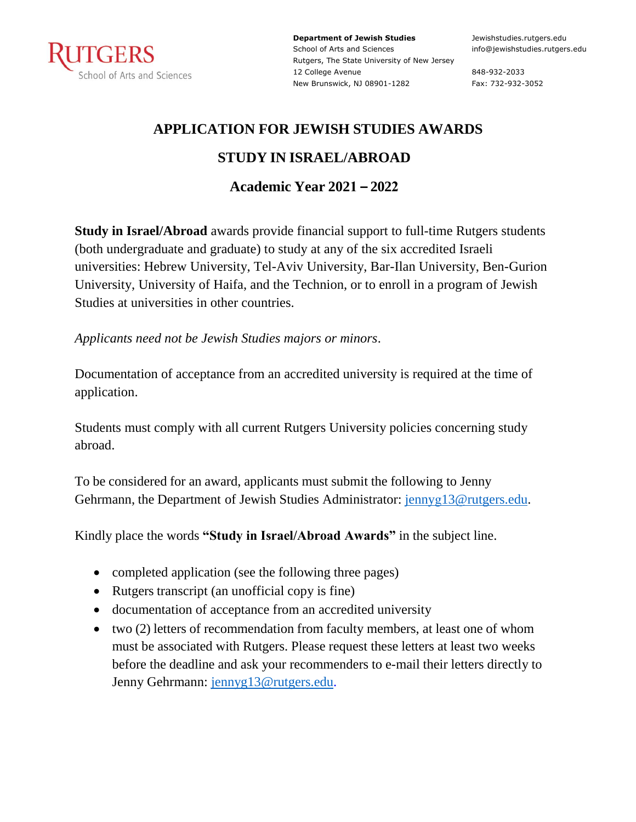

**Department of Jewish Studies** School of Arts and Sciences Rutgers, The State University of New Jersey 12 College Avenue New Brunswick, NJ 08901-1282

Jewishstudies.rutgers.edu info@jewishstudies.rutgers.edu

848-932-2033 Fax: 732-932-3052

### **APPLICATION FOR JEWISH STUDIES AWARDS**

#### **STUDY IN ISRAEL/ABROAD**

### **Academic Year 2021 – 2022**

**Study in Israel/Abroad** awards provide financial support to full-time Rutgers students (both undergraduate and graduate) to study at any of the six accredited Israeli universities: Hebrew University, Tel-Aviv University, Bar-Ilan University, Ben-Gurion University, University of Haifa, and the Technion, or to enroll in a program of Jewish Studies at universities in other countries.

*Applicants need not be Jewish Studies majors or minors*.

Documentation of acceptance from an accredited university is required at the time of application.

Students must comply with all current Rutgers University policies concerning study abroad.

To be considered for an award, applicants must submit the following to Jenny Gehrmann, the Department of Jewish Studies Administrator: jennyg13@rutgers.edu.

Kindly place the words **"Study in Israel/Abroad Awards"** in the subject line.

- completed application (see the following three pages)
- Rutgers transcript (an unofficial copy is fine)
- documentation of acceptance from an accredited university
- two (2) letters of recommendation from faculty members, at least one of whom must be associated with Rutgers. Please request these letters at least two weeks before the deadline and ask your recommenders to e-mail their letters directly to Jenny Gehrmann: jennyg13@rutgers.edu.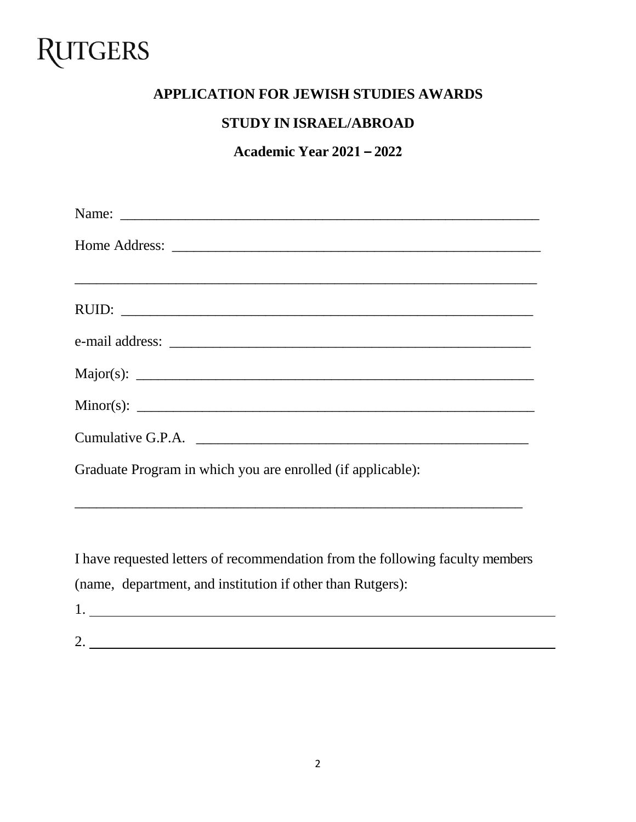## **RUTGERS**

#### **APPLICATION FOR JEWISH STUDIES AWARDS**

#### **STUDY IN ISRAEL/ABROAD**

**Academic Year 2021 – 2022**

| Graduate Program in which you are enrolled (if applicable): |
|-------------------------------------------------------------|
|                                                             |

I have requested letters of recommendation from the following faculty members (name, department, and institution if other than Rutgers):

- 1.
- 2.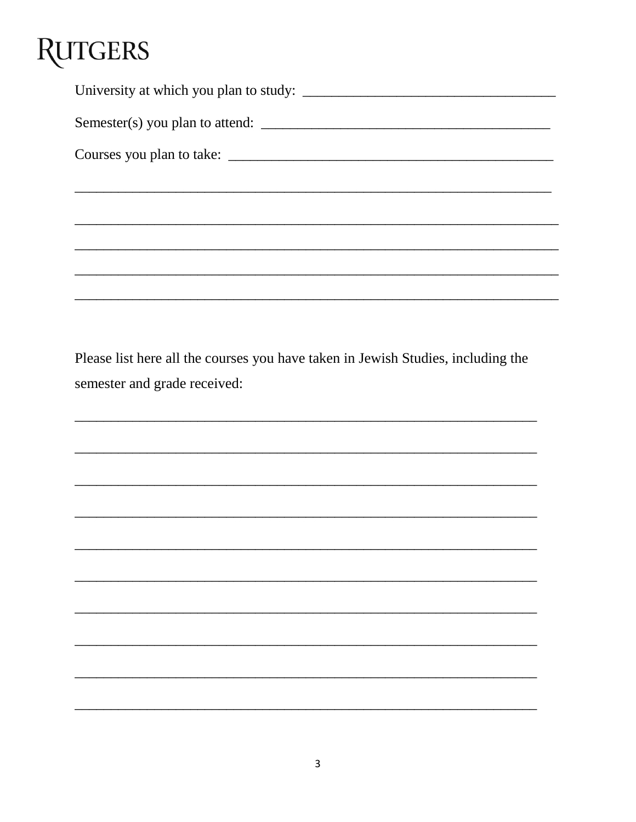# **RUTGERS**

| Semester(s) you plan to attend: |
|---------------------------------|
|                                 |
|                                 |
|                                 |
|                                 |
|                                 |
|                                 |

Please list here all the courses you have taken in Jewish Studies, including the semester and grade received: